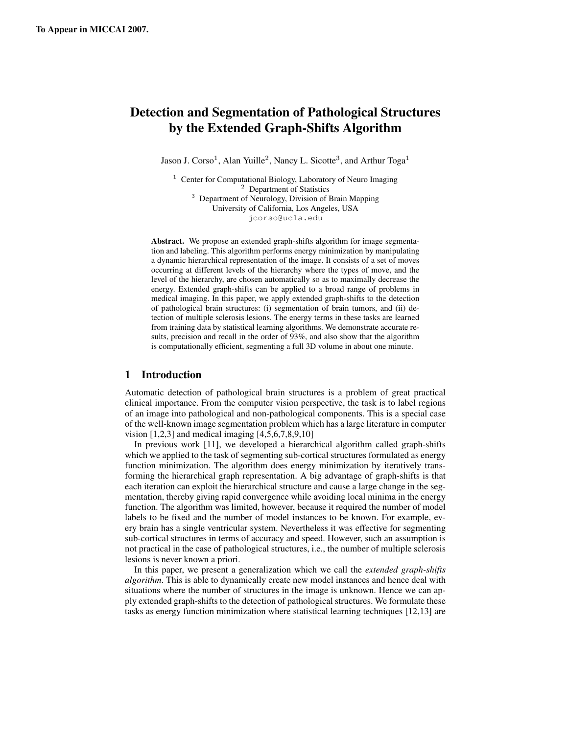# Detection and Segmentation of Pathological Structures by the Extended Graph-Shifts Algorithm

Jason J. Corso<sup>1</sup>, Alan Yuille<sup>2</sup>, Nancy L. Sicotte<sup>3</sup>, and Arthur Toga<sup>1</sup>

<sup>1</sup> Center for Computational Biology, Laboratory of Neuro Imaging <sup>2</sup> Department of Statistics <sup>3</sup> Department of Neurology, Division of Brain Mapping University of California, Los Angeles, USA jcorso@ucla.edu

Abstract. We propose an extended graph-shifts algorithm for image segmentation and labeling. This algorithm performs energy minimization by manipulating a dynamic hierarchical representation of the image. It consists of a set of moves occurring at different levels of the hierarchy where the types of move, and the level of the hierarchy, are chosen automatically so as to maximally decrease the energy. Extended graph-shifts can be applied to a broad range of problems in medical imaging. In this paper, we apply extended graph-shifts to the detection of pathological brain structures: (i) segmentation of brain tumors, and (ii) detection of multiple sclerosis lesions. The energy terms in these tasks are learned from training data by statistical learning algorithms. We demonstrate accurate results, precision and recall in the order of 93%, and also show that the algorithm is computationally efficient, segmenting a full 3D volume in about one minute.

## 1 Introduction

Automatic detection of pathological brain structures is a problem of great practical clinical importance. From the computer vision perspective, the task is to label regions of an image into pathological and non-pathological components. This is a special case of the well-known image segmentation problem which has a large literature in computer vision  $[1,2,3]$  and medical imaging  $[4,5,6,7,8,9,10]$ 

In previous work [11], we developed a hierarchical algorithm called graph-shifts which we applied to the task of segmenting sub-cortical structures formulated as energy function minimization. The algorithm does energy minimization by iteratively transforming the hierarchical graph representation. A big advantage of graph-shifts is that each iteration can exploit the hierarchical structure and cause a large change in the segmentation, thereby giving rapid convergence while avoiding local minima in the energy function. The algorithm was limited, however, because it required the number of model labels to be fixed and the number of model instances to be known. For example, every brain has a single ventricular system. Nevertheless it was effective for segmenting sub-cortical structures in terms of accuracy and speed. However, such an assumption is not practical in the case of pathological structures, i.e., the number of multiple sclerosis lesions is never known a priori.

In this paper, we present a generalization which we call the *extended graph-shifts algorithm*. This is able to dynamically create new model instances and hence deal with situations where the number of structures in the image is unknown. Hence we can apply extended graph-shifts to the detection of pathological structures. We formulate these tasks as energy function minimization where statistical learning techniques [12,13] are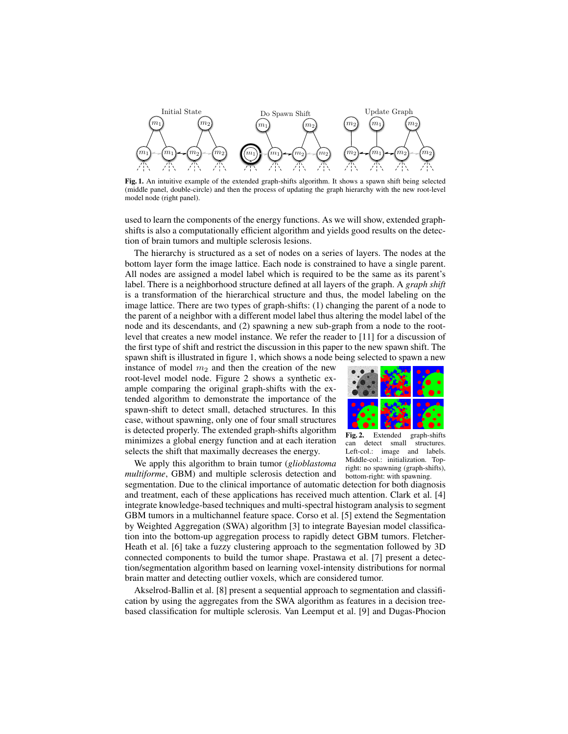

Fig. 1. An intuitive example of the extended graph-shifts algorithm. It shows a spawn shift being selected (middle panel, double-circle) and then the process of updating the graph hierarchy with the new root-level model node (right panel).

used to learn the components of the energy functions. As we will show, extended graphshifts is also a computationally efficient algorithm and yields good results on the detection of brain tumors and multiple sclerosis lesions.

The hierarchy is structured as a set of nodes on a series of layers. The nodes at the bottom layer form the image lattice. Each node is constrained to have a single parent. All nodes are assigned a model label which is required to be the same as its parent's label. There is a neighborhood structure defined at all layers of the graph. A *graph shift* is a transformation of the hierarchical structure and thus, the model labeling on the image lattice. There are two types of graph-shifts: (1) changing the parent of a node to the parent of a neighbor with a different model label thus altering the model label of the node and its descendants, and (2) spawning a new sub-graph from a node to the rootlevel that creates a new model instance. We refer the reader to [11] for a discussion of the first type of shift and restrict the discussion in this paper to the new spawn shift. The spawn shift is illustrated in figure 1, which shows a node being selected to spawn a new

instance of model  $m_2$  and then the creation of the new root-level model node. Figure 2 shows a synthetic example comparing the original graph-shifts with the extended algorithm to demonstrate the importance of the spawn-shift to detect small, detached structures. In this case, without spawning, only one of four small structures is detected properly. The extended graph-shifts algorithm minimizes a global energy function and at each iteration selects the shift that maximally decreases the energy.

We apply this algorithm to brain tumor (*glioblastoma multiforme*, GBM) and multiple sclerosis detection and



can detect small structures. Left-col.: image and labels. Middle-col.: initialization. Topright: no spawning (graph-shifts),

bottom-right: with spawning. segmentation. Due to the clinical importance of automatic detection for both diagnosis and treatment, each of these applications has received much attention. Clark et al. [4] integrate knowledge-based techniques and multi-spectral histogram analysis to segment GBM tumors in a multichannel feature space. Corso et al. [5] extend the Segmentation by Weighted Aggregation (SWA) algorithm [3] to integrate Bayesian model classification into the bottom-up aggregation process to rapidly detect GBM tumors. Fletcher-Heath et al. [6] take a fuzzy clustering approach to the segmentation followed by 3D connected components to build the tumor shape. Prastawa et al. [7] present a detection/segmentation algorithm based on learning voxel-intensity distributions for normal brain matter and detecting outlier voxels, which are considered tumor.

Akselrod-Ballin et al. [8] present a sequential approach to segmentation and classification by using the aggregates from the SWA algorithm as features in a decision treebased classification for multiple sclerosis. Van Leemput et al. [9] and Dugas-Phocion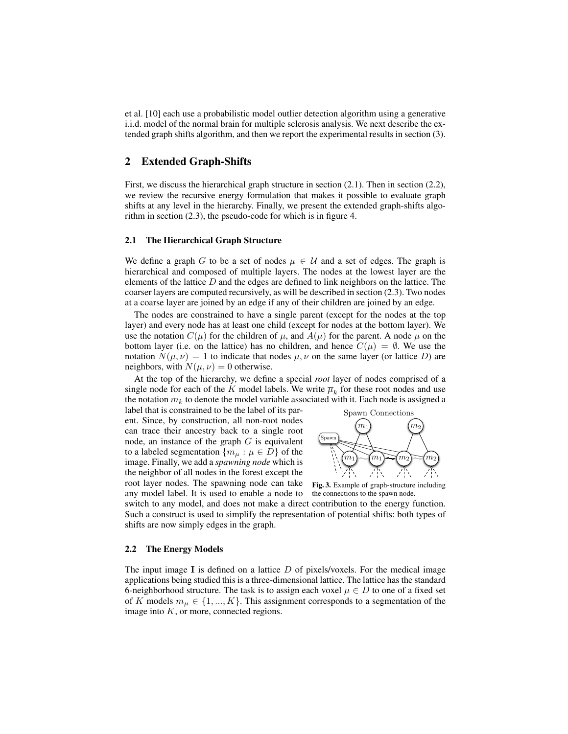et al. [10] each use a probabilistic model outlier detection algorithm using a generative i.i.d. model of the normal brain for multiple sclerosis analysis. We next describe the extended graph shifts algorithm, and then we report the experimental results in section (3).

## 2 Extended Graph-Shifts

First, we discuss the hierarchical graph structure in section (2.1). Then in section (2.2), we review the recursive energy formulation that makes it possible to evaluate graph shifts at any level in the hierarchy. Finally, we present the extended graph-shifts algorithm in section (2.3), the pseudo-code for which is in figure 4.

#### 2.1 The Hierarchical Graph Structure

We define a graph G to be a set of nodes  $\mu \in \mathcal{U}$  and a set of edges. The graph is hierarchical and composed of multiple layers. The nodes at the lowest layer are the elements of the lattice  $D$  and the edges are defined to link neighbors on the lattice. The coarser layers are computed recursively, as will be described in section (2.3). Two nodes at a coarse layer are joined by an edge if any of their children are joined by an edge.

The nodes are constrained to have a single parent (except for the nodes at the top layer) and every node has at least one child (except for nodes at the bottom layer). We use the notation  $C(\mu)$  for the children of  $\mu$ , and  $A(\mu)$  for the parent. A node  $\mu$  on the bottom layer (i.e. on the lattice) has no children, and hence  $C(\mu) = \emptyset$ . We use the notation  $N(\mu, \nu) = 1$  to indicate that nodes  $\mu, \nu$  on the same layer (or lattice D) are neighbors, with  $N(\mu, \nu) = 0$  otherwise.

At the top of the hierarchy, we define a special *root* layer of nodes comprised of a single node for each of the K model labels. We write  $\overline{\mu}_k$  for these root nodes and use the notation  $m_k$  to denote the model variable associated with it. Each node is assigned a

label that is constrained to be the label of its parent. Since, by construction, all non-root nodes can trace their ancestry back to a single root node, an instance of the graph  $G$  is equivalent to a labeled segmentation  $\{m_\mu : \mu \in D\}$  of the image. Finally, we add a *spawning node* which is the neighbor of all nodes in the forest except the root layer nodes. The spawning node can take any model label. It is used to enable a node to



Fig. 3. Example of graph-structure including the connections to the spawn node.

switch to any model, and does not make a direct contribution to the energy function. Such a construct is used to simplify the representation of potential shifts: both types of shifts are now simply edges in the graph.

## 2.2 The Energy Models

The input image  $\bf{I}$  is defined on a lattice  $\bf{D}$  of pixels/voxels. For the medical image applications being studied this is a three-dimensional lattice. The lattice has the standard 6-neighborhood structure. The task is to assign each voxel  $\mu \in D$  to one of a fixed set of K models  $m_{\mu} \in \{1, ..., K\}$ . This assignment corresponds to a segmentation of the image into  $K$ , or more, connected regions.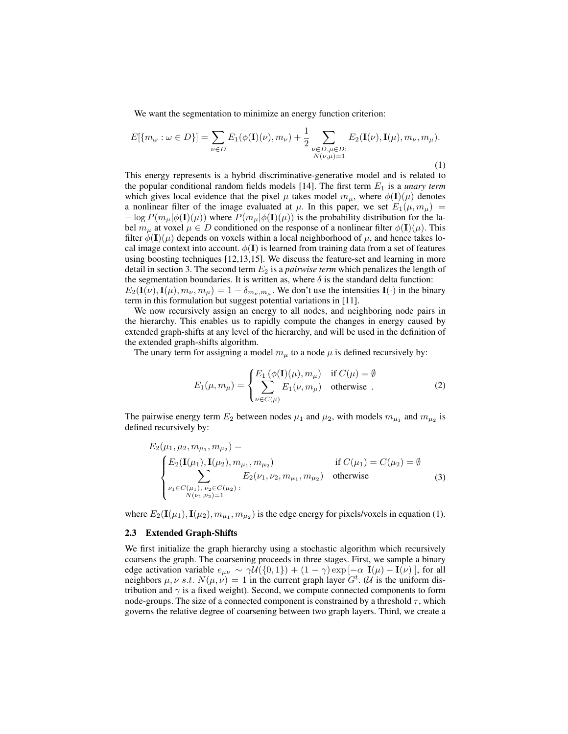We want the segmentation to minimize an energy function criterion:

$$
E[\{m_{\omega} : \omega \in D\}] = \sum_{\nu \in D} E_1(\phi(\mathbf{I})(\nu), m_{\nu}) + \frac{1}{2} \sum_{\substack{\nu \in D, \mu \in D:\\N(\nu, \mu) = 1}} E_2(\mathbf{I}(\nu), \mathbf{I}(\mu), m_{\nu}, m_{\mu}).
$$
\n(1)

This energy represents is a hybrid discriminative-generative model and is related to the popular conditional random fields models  $[14]$ . The first term  $E_1$  is a *unary term* which gives local evidence that the pixel  $\mu$  takes model  $m_{\mu}$ , where  $\phi(\mathbf{I})(\mu)$  denotes a nonlinear filter of the image evaluated at  $\mu$ . In this paper, we set  $E_1(\mu, m_\mu)$  $-\log P(m_\mu|\phi(\mathbf{I})(\mu))$  where  $P(m_\mu|\phi(\mathbf{I})(\mu))$  is the probability distribution for the label  $m_{\mu}$  at voxel  $\mu \in D$  conditioned on the response of a nonlinear filter  $\phi(\mathbf{I})(\mu)$ . This filter  $\phi(\mathbf{I})(\mu)$  depends on voxels within a local neighborhood of  $\mu$ , and hence takes local image context into account.  $\phi(I)$  is learned from training data from a set of features using boosting techniques [12,13,15]. We discuss the feature-set and learning in more detail in section 3. The second term  $E_2$  is a *pairwise term* which penalizes the length of the segmentation boundaries. It is written as, where  $\delta$  is the standard delta function:  $E_2(\mathbf{I}(\nu), \mathbf{I}(\mu), m_{\nu}, m_{\mu}) = 1 - \delta_{m_{\nu}, m_{\mu}}$ . We don't use the intensities  $\mathbf{I}(\cdot)$  in the binary term in this formulation but suggest potential variations in [11].

We now recursively assign an energy to all nodes, and neighboring node pairs in the hierarchy. This enables us to rapidly compute the changes in energy caused by extended graph-shifts at any level of the hierarchy, and will be used in the definition of the extended graph-shifts algorithm.

The unary term for assigning a model  $m_{\mu}$  to a node  $\mu$  is defined recursively by:

$$
E_1(\mu, m_\mu) = \begin{cases} E_1(\phi(\mathbf{I})(\mu), m_\mu) & \text{if } C(\mu) = \emptyset \\ \sum_{\nu \in C(\mu)} E_1(\nu, m_\mu) & \text{otherwise} \end{cases}
$$
 (2)

The pairwise energy term  $E_2$  between nodes  $\mu_1$  and  $\mu_2$ , with models  $m_{\mu_1}$  and  $m_{\mu_2}$  is defined recursively by:

$$
E_2(\mu_1, \mu_2, m_{\mu_1}, m_{\mu_2}) =
$$
\n
$$
\begin{cases}\nE_2(\mathbf{I}(\mu_1), \mathbf{I}(\mu_2), m_{\mu_1}, m_{\mu_2}) & \text{if } C(\mu_1) = C(\mu_2) = \emptyset \\
\sum_{\nu_1 \in C(\mu_1), \ \nu_2 \in C(\mu_2)} E_2(\nu_1, \nu_2, m_{\mu_1}, m_{\mu_2}) & \text{otherwise} \\
N(\nu_1, \nu_2) = 1\n\end{cases}
$$
\n(3)

where  $E_2(\mathbf{I}(\mu_1), \mathbf{I}(\mu_2), m_{\mu_1}, m_{\mu_2})$  is the edge energy for pixels/voxels in equation (1).

#### 2.3 Extended Graph-Shifts

We first initialize the graph hierarchy using a stochastic algorithm which recursively coarsens the graph. The coarsening proceeds in three stages. First, we sample a binary edge activation variable  $e_{\mu\nu} \sim \gamma \mathcal{U}(\{0,1\}) + (1-\gamma) \exp[-\alpha |\mathbf{I}(\mu) - \mathbf{I}(\nu)|]$ , for all neighbors  $\mu$ ,  $\nu$  s.t.  $N(\mu, \nu) = 1$  in the current graph layer  $G^t$ . (U is the uniform distribution and  $\gamma$  is a fixed weight). Second, we compute connected components to form node-groups. The size of a connected component is constrained by a threshold  $\tau$ , which governs the relative degree of coarsening between two graph layers. Third, we create a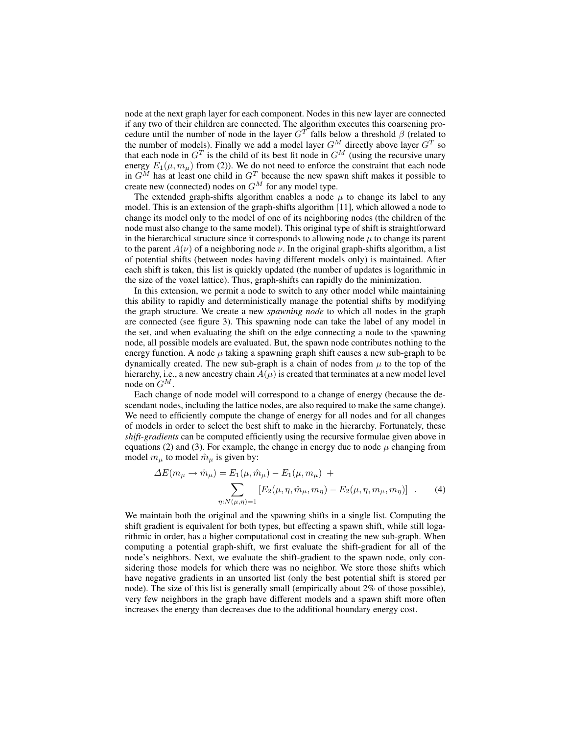node at the next graph layer for each component. Nodes in this new layer are connected if any two of their children are connected. The algorithm executes this coarsening procedure until the number of node in the layer  $G<sup>T</sup>$  falls below a threshold  $\beta$  (related to the number of models). Finally we add a model layer  $G^M$  directly above layer  $G^T$  so that each node in  $G<sup>T</sup>$  is the child of its best fit node in  $G<sup>M</sup>$  (using the recursive unary energy  $E_1(\mu, m_\mu)$  from (2)). We do not need to enforce the constraint that each node in  $G^M$  has at least one child in  $G^T$  because the new spawn shift makes it possible to create new (connected) nodes on  $G^M$  for any model type.

The extended graph-shifts algorithm enables a node  $\mu$  to change its label to any model. This is an extension of the graph-shifts algorithm [11], which allowed a node to change its model only to the model of one of its neighboring nodes (the children of the node must also change to the same model). This original type of shift is straightforward in the hierarchical structure since it corresponds to allowing node  $\mu$  to change its parent to the parent  $A(\nu)$  of a neighboring node  $\nu$ . In the original graph-shifts algorithm, a list of potential shifts (between nodes having different models only) is maintained. After each shift is taken, this list is quickly updated (the number of updates is logarithmic in the size of the voxel lattice). Thus, graph-shifts can rapidly do the minimization.

In this extension, we permit a node to switch to any other model while maintaining this ability to rapidly and deterministically manage the potential shifts by modifying the graph structure. We create a new *spawning node* to which all nodes in the graph are connected (see figure 3). This spawning node can take the label of any model in the set, and when evaluating the shift on the edge connecting a node to the spawning node, all possible models are evaluated. But, the spawn node contributes nothing to the energy function. A node  $\mu$  taking a spawning graph shift causes a new sub-graph to be dynamically created. The new sub-graph is a chain of nodes from  $\mu$  to the top of the hierarchy, i.e., a new ancestry chain  $A(\mu)$  is created that terminates at a new model level node on  $G^M$ .

Each change of node model will correspond to a change of energy (because the descendant nodes, including the lattice nodes, are also required to make the same change). We need to efficiently compute the change of energy for all nodes and for all changes of models in order to select the best shift to make in the hierarchy. Fortunately, these *shift-gradients* can be computed efficiently using the recursive formulae given above in equations (2) and (3). For example, the change in energy due to node  $\mu$  changing from model  $m<sub>\mu</sub>$  to model  $\hat{m}<sub>\mu</sub>$  is given by:

$$
\Delta E(m_{\mu} \to \hat{m}_{\mu}) = E_1(\mu, \hat{m}_{\mu}) - E_1(\mu, m_{\mu}) + \sum_{\eta: N(\mu, \eta) = 1} [E_2(\mu, \eta, \hat{m}_{\mu}, m_{\eta}) - E_2(\mu, \eta, m_{\mu}, m_{\eta})] . \tag{4}
$$

We maintain both the original and the spawning shifts in a single list. Computing the shift gradient is equivalent for both types, but effecting a spawn shift, while still logarithmic in order, has a higher computational cost in creating the new sub-graph. When computing a potential graph-shift, we first evaluate the shift-gradient for all of the node's neighbors. Next, we evaluate the shift-gradient to the spawn node, only considering those models for which there was no neighbor. We store those shifts which have negative gradients in an unsorted list (only the best potential shift is stored per node). The size of this list is generally small (empirically about 2% of those possible), very few neighbors in the graph have different models and a spawn shift more often increases the energy than decreases due to the additional boundary energy cost.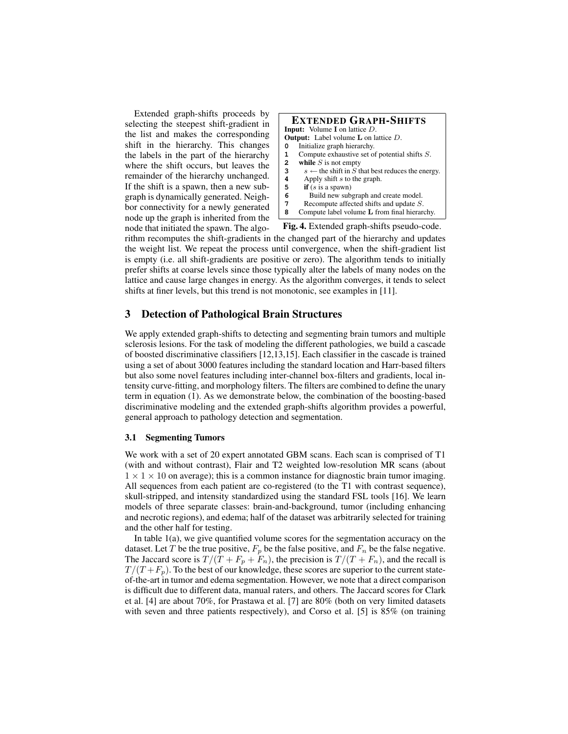Extended graph-shifts proceeds by selecting the steepest shift-gradient in the list and makes the corresponding shift in the hierarchy. This changes the labels in the part of the hierarchy where the shift occurs, but leaves the remainder of the hierarchy unchanged. If the shift is a spawn, then a new subgraph is dynamically generated. Neighbor connectivity for a newly generated node up the graph is inherited from the node that initiated the spawn. The algo-



Fig. 4. Extended graph-shifts pseudo-code.

rithm recomputes the shift-gradients in the changed part of the hierarchy and updates the weight list. We repeat the process until convergence, when the shift-gradient list is empty (i.e. all shift-gradients are positive or zero). The algorithm tends to initially prefer shifts at coarse levels since those typically alter the labels of many nodes on the lattice and cause large changes in energy. As the algorithm converges, it tends to select shifts at finer levels, but this trend is not monotonic, see examples in [11].

## 3 Detection of Pathological Brain Structures

We apply extended graph-shifts to detecting and segmenting brain tumors and multiple sclerosis lesions. For the task of modeling the different pathologies, we build a cascade of boosted discriminative classifiers [12,13,15]. Each classifier in the cascade is trained using a set of about 3000 features including the standard location and Harr-based filters but also some novel features including inter-channel box-filters and gradients, local intensity curve-fitting, and morphology filters. The filters are combined to define the unary term in equation (1). As we demonstrate below, the combination of the boosting-based discriminative modeling and the extended graph-shifts algorithm provides a powerful, general approach to pathology detection and segmentation.

#### 3.1 Segmenting Tumors

We work with a set of 20 expert annotated GBM scans. Each scan is comprised of T1 (with and without contrast), Flair and T2 weighted low-resolution MR scans (about  $1 \times 1 \times 10$  on average); this is a common instance for diagnostic brain tumor imaging. All sequences from each patient are co-registered (to the T1 with contrast sequence), skull-stripped, and intensity standardized using the standard FSL tools [16]. We learn models of three separate classes: brain-and-background, tumor (including enhancing and necrotic regions), and edema; half of the dataset was arbitrarily selected for training and the other half for testing.

In table 1(a), we give quantified volume scores for the segmentation accuracy on the dataset. Let T be the true positive,  $F_p$  be the false positive, and  $F_n$  be the false negative. The Jaccard score is  $T/(T + F_p + F_n)$ , the precision is  $T/(T + F_n)$ , and the recall is  $T/(T + F_p)$ . To the best of our knowledge, these scores are superior to the current stateof-the-art in tumor and edema segmentation. However, we note that a direct comparison is difficult due to different data, manual raters, and others. The Jaccard scores for Clark et al. [4] are about 70%, for Prastawa et al. [7] are 80% (both on very limited datasets with seven and three patients respectively), and Corso et al. [5] is 85% (on training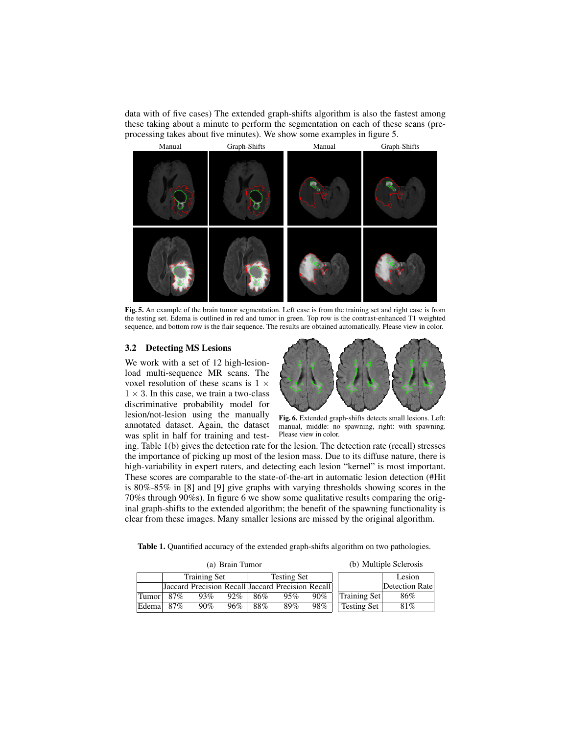data with of five cases) The extended graph-shifts algorithm is also the fastest among these taking about a minute to perform the segmentation on each of these scans (preprocessing takes about five minutes). We show some examples in figure 5.



Fig. 5. An example of the brain tumor segmentation. Left case is from the training set and right case is from the testing set. Edema is outlined in red and tumor in green. Top row is the contrast-enhanced T1 weighted sequence, and bottom row is the flair sequence. The results are obtained automatically. Please view in color.

#### 3.2 Detecting MS Lesions

We work with a set of 12 high-lesionload multi-sequence MR scans. The voxel resolution of these scans is  $1 \times$  $1 \times 3$ . In this case, we train a two-class discriminative probability model for lesion/not-lesion using the manually annotated dataset. Again, the dataset was split in half for training and test-



Fig. 6. Extended graph-shifts detects small lesions. Left: manual, middle: no spawning, right: with spawning. Please view in color.

ing. Table 1(b) gives the detection rate for the lesion. The detection rate (recall) stresses the importance of picking up most of the lesion mass. Due to its diffuse nature, there is high-variability in expert raters, and detecting each lesion "kernel" is most important. These scores are comparable to the state-of-the-art in automatic lesion detection (#Hit is 80%-85% in [8] and [9] give graphs with varying thresholds showing scores in the 70%s through 90%s). In figure 6 we show some qualitative results comparing the original graph-shifts to the extended algorithm; the benefit of the spawning functionality is clear from these images. Many smaller lesions are missed by the original algorithm.

Table 1. Quantified accuracy of the extended graph-shifts algorithm on two pathologies.

|        | (a) Brain Tumor |                                                   |     |                    |     |     |              | (b) Multiple Sclerosis |  |
|--------|-----------------|---------------------------------------------------|-----|--------------------|-----|-----|--------------|------------------------|--|
|        | Training Set    |                                                   |     | <b>Testing Set</b> |     |     |              | Lesion                 |  |
|        |                 | Jaccard Precision Recall Jaccard Precision Recall |     |                    |     |     |              | Detection Rate         |  |
| Tumorl | 87%             | 93%                                               | 92% | 86%                | 95% | 90% | Training Set | 86%                    |  |
| Edemal | 87%             | 90%                                               | 96% | 88%                | 89% | 98% | Testing Set  | 81%                    |  |